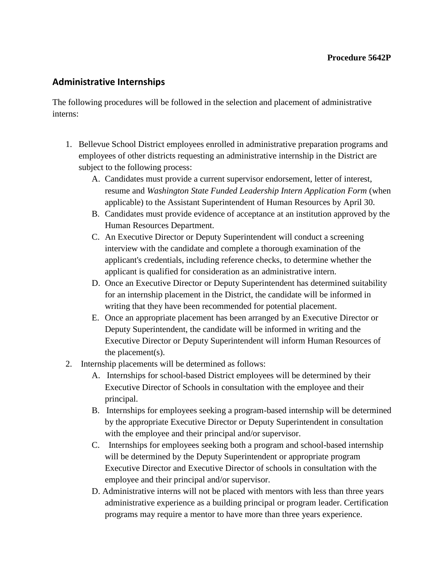## **Administrative Internships**

The following procedures will be followed in the selection and placement of administrative interns:

- 1. Bellevue School District employees enrolled in administrative preparation programs and employees of other districts requesting an administrative internship in the District are subject to the following process:
	- A. Candidates must provide a current supervisor endorsement, letter of interest, resume and *Washington State Funded Leadership Intern Application Form* (when applicable) to the Assistant Superintendent of Human Resources by April 30.
	- B. Candidates must provide evidence of acceptance at an institution approved by the Human Resources Department.
	- C. An Executive Director or Deputy Superintendent will conduct a screening interview with the candidate and complete a thorough examination of the applicant's credentials, including reference checks, to determine whether the applicant is qualified for consideration as an administrative intern.
	- D. Once an Executive Director or Deputy Superintendent has determined suitability for an internship placement in the District, the candidate will be informed in writing that they have been recommended for potential placement.
	- E. Once an appropriate placement has been arranged by an Executive Director or Deputy Superintendent, the candidate will be informed in writing and the Executive Director or Deputy Superintendent will inform Human Resources of the placement(s).
- 2. Internship placements will be determined as follows:
	- A. Internships for school-based District employees will be determined by their Executive Director of Schools in consultation with the employee and their principal.
	- B. Internships for employees seeking a program-based internship will be determined by the appropriate Executive Director or Deputy Superintendent in consultation with the employee and their principal and/or supervisor.
	- C. Internships for employees seeking both a program and school-based internship will be determined by the Deputy Superintendent or appropriate program Executive Director and Executive Director of schools in consultation with the employee and their principal and/or supervisor.
	- D. Administrative interns will not be placed with mentors with less than three years administrative experience as a building principal or program leader. Certification programs may require a mentor to have more than three years experience.